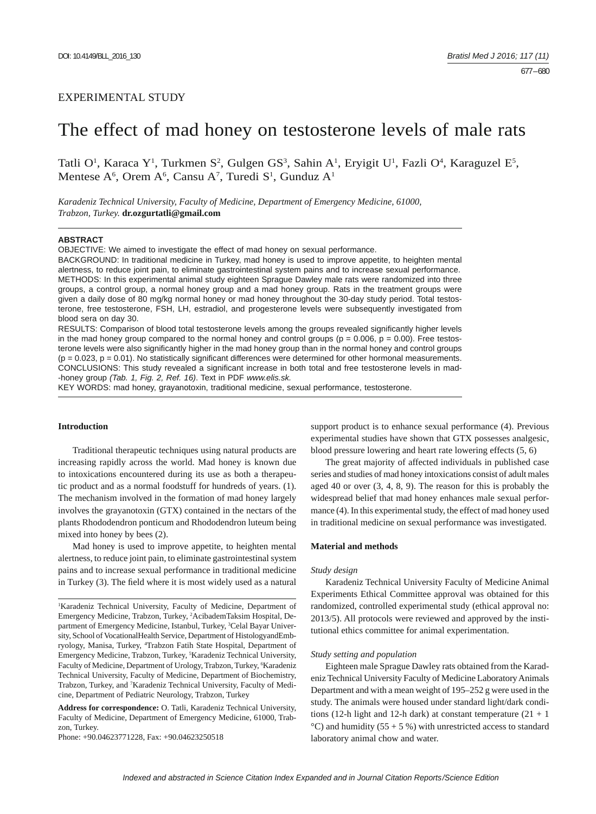# EXPERIMENTAL STUDY

# The effect of mad honey on testosterone levels of male rats

Tatli O<sup>1</sup>, Karaca Y<sup>1</sup>, Turkmen S<sup>2</sup>, Gulgen GS<sup>3</sup>, Sahin A<sup>1</sup>, Eryigit U<sup>1</sup>, Fazli O<sup>4</sup>, Karaguzel E<sup>5</sup>, Mentese  $A^6$ , Orem  $A^6$ , Cansu  $A^7$ , Turedi  $S^1$ , Gunduz  $A^1$ 

*Karadeniz Technical University, Faculty of Medicine, Department of Emergency Medicine, 61000, Trabzon, Turkey.* **dr.ozgurtatli@gmail.com**

## **ABSTRACT**

OBJECTIVE: We aimed to investigate the effect of mad honey on sexual performance.

BACKGROUND: In traditional medicine in Turkey, mad honey is used to improve appetite, to heighten mental alertness, to reduce joint pain, to eliminate gastrointestinal system pains and to increase sexual performance. METHODS: In this experimental animal study eighteen Sprague Dawley male rats were randomized into three groups, a control group, a normal honey group and a mad honey group. Rats in the treatment groups were given a daily dose of 80 mg/kg normal honey or mad honey throughout the 30-day study period. Total testosterone, free testosterone, FSH, LH, estradiol, and progesterone levels were subsequently investigated from blood sera on day 30.

RESULTS: Comparison of blood total testosterone levels among the groups revealed significantly higher levels in the mad honey group compared to the normal honey and control groups ( $p = 0.006$ ,  $p = 0.00$ ). Free testosterone levels were also significantly higher in the mad honey group than in the normal honey and control groups  $(p = 0.023, p = 0.01)$ . No statistically significant differences were determined for other hormonal measurements. CONCLUSIONS: This study revealed a significant increase in both total and free testosterone levels in mad--honey group *(Tab. 1, Fig. 2, Ref. 16)*. Text in PDF *www.elis.sk.*

KEY WORDS: mad honey, grayanotoxin, traditional medicine, sexual performance, testosterone.

# **Introduction**

Traditional therapeutic techniques using natural products are increasing rapidly across the world. Mad honey is known due to intoxications encountered during its use as both a therapeutic product and as a normal foodstuff for hundreds of years. (1). The mechanism involved in the formation of mad honey largely involves the grayanotoxin (GTX) contained in the nectars of the plants Rhododendron ponticum and Rhododendron luteum being mixed into honey by bees (2).

Mad honey is used to improve appetite, to heighten mental alertness, to reduce joint pain, to eliminate gastrointestinal system pains and to increase sexual performance in traditional medicine in Turkey (3). The field where it is most widely used as a natural

**Address for correspondence:** O. Tatli, Karadeniz Technical University, Faculty of Medicine, Department of Emergency Medicine, 61000, Trabzon, Turkey.

Phone: +90.04623771228, Fax: +90.04623250518

support product is to enhance sexual performance (4). Previous experimental studies have shown that GTX possesses analgesic, blood pressure lowering and heart rate lowering effects (5, 6)

The great majority of affected individuals in published case series and studies of mad honey intoxications consist of adult males aged 40 or over (3, 4, 8, 9). The reason for this is probably the widespread belief that mad honey enhances male sexual performance (4). In this experimental study, the effect of mad honey used in traditional medicine on sexual performance was investigated.

#### **Material and methods**

#### *Study design*

Karadeniz Technical University Faculty of Medicine Animal Experiments Ethical Committee approval was obtained for this randomized, controlled experimental study (ethical approval no: 2013/5). All protocols were reviewed and approved by the institutional ethics committee for animal experimentation.

#### *Study setting and population*

Eighteen male Sprague Dawley rats obtained from the Karadeniz Technical University Faculty of Medicine Laboratory Animals Department and with a mean weight of 195–252 g were used in the study. The animals were housed under standard light/dark conditions (12-h light and 12-h dark) at constant temperature  $(21 + 1)$ °C) and humidity (55 + 5 %) with unrestricted access to standard laboratory animal chow and water.

<sup>&</sup>lt;sup>1</sup>Karadeniz Technical University, Faculty of Medicine, Department of Emergency Medicine, Trabzon, Turkey, 2 AcibademTaksim Hospital, Department of Emergency Medicine, Istanbul, Turkey, <sup>3</sup>Celal Bayar University, School of VocationalHealth Service, Department of HistologyandEmbryology, Manisa, Turkey, <sup>4</sup>Trabzon Fatih State Hospital, Department of Emergency Medicine, Trabzon, Turkey, 5 Karadeniz Technical University, Faculty of Medicine, Department of Urology, Trabzon, Turkey, <sup>6</sup>Karadeniz Technical University, Faculty of Medicine, Department of Biochemistry, Trabzon, Turkey, and <sup>7</sup>Karadeniz Technical University, Faculty of Medicine, Department of Pediatric Neurology, Trabzon, Turkey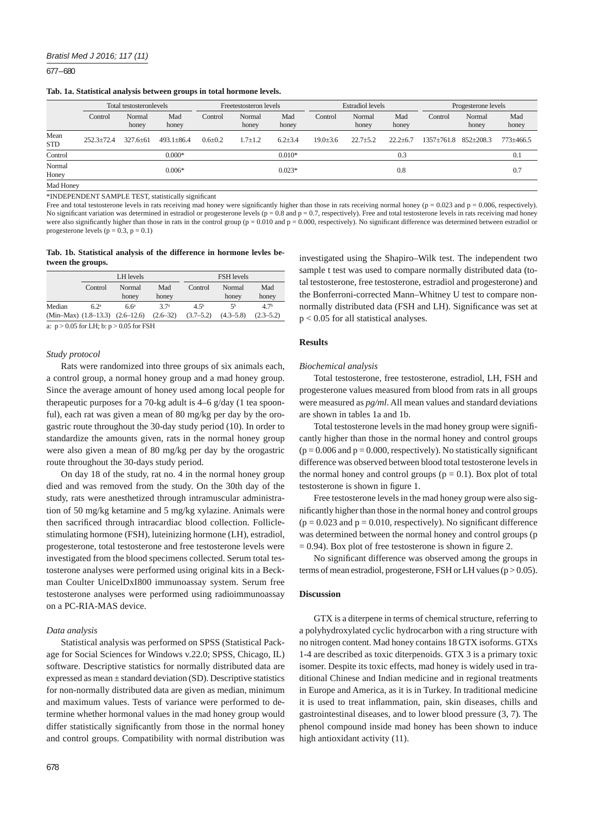677 – 680

## **Tab. 1a. Statistical analysis between groups in total hormone levels.**

|                    | Total testosteronlevels |                 |                  | Freetestosteron levels |                 |               | <b>Estradiol</b> levels |                 |                | Progesterone levels |                 |                 |
|--------------------|-------------------------|-----------------|------------------|------------------------|-----------------|---------------|-------------------------|-----------------|----------------|---------------------|-----------------|-----------------|
|                    | Control                 | Normal<br>honey | Mad<br>honey     | Control                | Normal<br>honey | Mad<br>honey  | Control                 | Normal<br>honey | Mad<br>honey   | Control             | Normal<br>honey | Mad<br>honey    |
| Mean<br><b>STD</b> | $252.3 \pm 72.4$        | $327.6 \pm 61$  | $493.1 \pm 86.4$ | $0.6 \pm 0.2$          | $1.7 \pm 1.2$   | $6.2{\pm}3.4$ | $19.0 \pm 3.6$          | $22.7 \pm 5.2$  | $22.2 \pm 6.7$ | 1357±761.8          | $852 + 208.3$   | $773 \pm 466.5$ |
| Control            |                         |                 | $0.000*$         |                        |                 | $0.010*$      |                         |                 | 0.3            |                     |                 | 0.1             |
| Normal<br>Honey    |                         |                 | $0.006*$         |                        |                 | $0.023*$      |                         |                 | 0.8            |                     |                 | 0.7             |
| Mad Honey          |                         |                 |                  |                        |                 |               |                         |                 |                |                     |                 |                 |

\*INDEPENDENT SAMPLE TEST, statistically significant

Free and total testosterone levels in rats receiving mad honey were significantly higher than those in rats receiving normal honey ( $p = 0.023$  and  $p = 0.006$ , respectively). No significant variation was determined in estradiol or progesterone levels ( $p = 0.8$  and  $p = 0.7$ , respectively). Free and total testosterone levels in rats receiving mad honey were also significantly higher than those in rats in the control group ( $p = 0.010$  and  $p = 0.000$ , respectively). No significant difference was determined between estradiol or progesterone levels  $(p = 0.3, p = 0.1)$ 

### **Tab. 1b. Statistical analysis of the difference in hormone levles between the groups.**

|                                       |                  | LH levels        |                                | <b>FSH</b> levels |                 |                 |  |  |
|---------------------------------------|------------------|------------------|--------------------------------|-------------------|-----------------|-----------------|--|--|
|                                       | Control          | Normal<br>honey  | Mad<br>honey                   | Control           | Normal<br>honey | Mad<br>honey    |  |  |
| Median                                | 6.2 <sup>a</sup> | 6.6 <sup>a</sup> | 37 <sup>a</sup>                | 4.5 <sup>b</sup>  | 5 <sup>b</sup>  | 47 <sup>b</sup> |  |  |
| $(Min-Max)$ $(1.8-13.3)$ $(2.6-12.6)$ |                  |                  | $(2.6 - 32)$<br>when you we we | $(3.7 - 5.2)$     | $(4.3 - 5.8)$   | $(2.3 - 5.2)$   |  |  |

a:  $p > 0.05$  for LH; b:  $p > 0.05$  for FSH

#### *Study protocol*

Rats were randomized into three groups of six animals each, a control group, a normal honey group and a mad honey group. Since the average amount of honey used among local people for therapeutic purposes for a 70-kg adult is 4–6 g/day (1 tea spoonful), each rat was given a mean of 80 mg/kg per day by the orogastric route throughout the 30-day study period (10). In order to standardize the amounts given, rats in the normal honey group were also given a mean of 80 mg/kg per day by the orogastric route throughout the 30-days study period.

On day 18 of the study, rat no. 4 in the normal honey group died and was removed from the study. On the 30th day of the study, rats were anesthetized through intramuscular administration of 50 mg/kg ketamine and 5 mg/kg xylazine. Animals were then sacrificed through intracardiac blood collection. Folliclestimulating hormone (FSH), luteinizing hormone (LH), estradiol, progesterone, total testosterone and free testosterone levels were investigated from the blood specimens collected. Serum total testosterone analyses were performed using original kits in a Beckman Coulter UnicelDxI800 immunoassay system. Serum free testosterone analyses were performed using radioimmunoassay on a PC-RIA-MAS device.

## *Data analysis*

Statistical analysis was performed on SPSS (Statistical Package for Social Sciences for Windows v.22.0; SPSS, Chicago, IL) software. Descriptive statistics for normally distributed data are expressed as mean ± standard deviation (SD). Descriptive statistics for non-normally distributed data are given as median, minimum and maximum values. Tests of variance were performed to determine whether hormonal values in the mad honey group would differ statistically significantly from those in the normal honey and control groups. Compatibility with normal distribution was

investigated using the Shapiro–Wilk test. The independent two sample t test was used to compare normally distributed data (total testosterone, free testosterone, estradiol and progesterone) and the Bonferroni-corrected Mann–Whitney U test to compare nonnormally distributed data (FSH and LH). Significance was set at p < 0.05 for all statistical analyses.

## **Results**

### *Biochemical analysis*

Total testosterone, free testosterone, estradiol, LH, FSH and progesterone values measured from blood from rats in all groups were measured as *pg/ml*. All mean values and standard deviations are shown in tables 1a and 1b.

Total testosterone levels in the mad honey group were significantly higher than those in the normal honey and control groups  $(p = 0.006$  and  $p = 0.000$ , respectively). No statistically significant difference was observed between blood total testosterone levels in the normal honey and control groups  $(p = 0.1)$ . Box plot of total testosterone is shown in figure 1.

Free testosterone levels in the mad honey group were also significantly higher than those in the normal honey and control groups  $(p = 0.023$  and  $p = 0.010$ , respectively). No significant difference was determined between the normal honey and control groups (p  $= 0.94$ ). Box plot of free testosterone is shown in figure 2.

No significant difference was observed among the groups in terms of mean estradiol, progesterone, FSH or LH values ( $p > 0.05$ ).

## **Discussion**

GTX is a diterpene in terms of chemical structure, referring to a polyhydroxylated cyclic hydrocarbon with a ring structure with no nitrogen content. Mad honey contains 18 GTX isoforms. GTXs 1-4 are described as toxic diterpenoids. GTX 3 is a primary toxic isomer. Despite its toxic effects, mad honey is widely used in traditional Chinese and Indian medicine and in regional treatments in Europe and America, as it is in Turkey. In traditional medicine it is used to treat inflammation, pain, skin diseases, chills and gastrointestinal diseases, and to lower blood pressure (3, 7). The phenol compound inside mad honey has been shown to induce high antioxidant activity (11).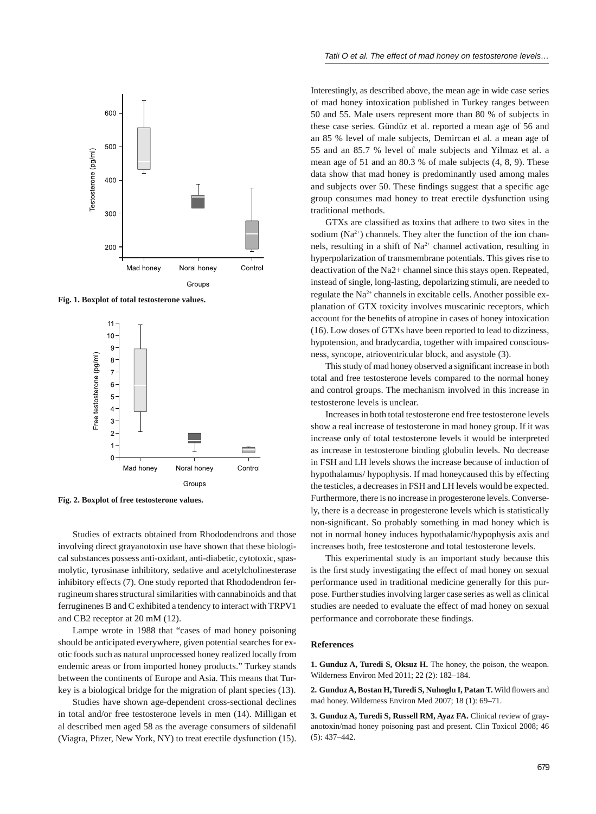

**Fig. 1. Boxplot of total testosterone values.**



**Fig. 2. Boxplot of free testosterone values.**

Studies of extracts obtained from Rhododendrons and those involving direct grayanotoxin use have shown that these biological substances possess anti-oxidant, anti-diabetic, cytotoxic, spasmolytic, tyrosinase inhibitory, sedative and acetylcholinesterase inhibitory effects (7). One study reported that Rhododendron ferrugineum shares structural similarities with cannabinoids and that ferruginenes B and C exhibited a tendency to interact with TRPV1 and CB2 receptor at 20 mM (12).

Lampe wrote in 1988 that "cases of mad honey poisoning should be anticipated everywhere, given potential searches for exotic foods such as natural unprocessed honey realized locally from endemic areas or from imported honey products." Turkey stands between the continents of Europe and Asia. This means that Turkey is a biological bridge for the migration of plant species (13).

Studies have shown age-dependent cross-sectional declines in total and/or free testosterone levels in men (14). Milligan et al described men aged 58 as the average consumers of sildenafil (Viagra, Pfizer, New York, NY) to treat erectile dysfunction (15). Interestingly, as described above, the mean age in wide case series of mad honey intoxication published in Turkey ranges between 50 and 55. Male users represent more than 80 % of subjects in these case series. Gündüz et al. reported a mean age of 56 and an 85 % level of male subjects, Demircan et al. a mean age of 55 and an 85.7 % level of male subjects and Yilmaz et al. a mean age of 51 and an 80.3 % of male subjects (4, 8, 9). These data show that mad honey is predominantly used among males and subjects over 50. These findings suggest that a specific age group consumes mad honey to treat erectile dysfunction using traditional methods.

GTXs are classified as toxins that adhere to two sites in the sodium  $(Na^{2+})$  channels. They alter the function of the ion channels, resulting in a shift of  $Na^{2+}$  channel activation, resulting in hyperpolarization of transmembrane potentials. This gives rise to deactivation of the Na2+ channel since this stays open. Repeated, instead of single, long-lasting, depolarizing stimuli, are needed to regulate the Na2+ channels in excitable cells. Another possible explanation of GTX toxicity involves muscarinic receptors, which account for the benefits of atropine in cases of honey intoxication (16). Low doses of GTXs have been reported to lead to dizziness, hypotension, and bradycardia, together with impaired consciousness, syncope, atrioventricular block, and asystole (3).

This study of mad honey observed a significant increase in both total and free testosterone levels compared to the normal honey and control groups. The mechanism involved in this increase in testosterone levels is unclear.

Increases in both total testosterone end free testosterone levels show a real increase of testosterone in mad honey group. If it was increase only of total testosterone levels it would be interpreted as increase in testosterone binding globulin levels. No decrease in FSH and LH levels shows the increase because of induction of hypothalamus/ hypophysis. If mad honeycaused this by effecting the testicles, a decreases in FSH and LH levels would be expected. Furthermore, there is no increase in progesterone levels. Conversely, there is a decrease in progesterone levels which is statistically non-significant. So probably something in mad honey which is not in normal honey induces hypothalamic/hypophysis axis and increases both, free testosterone and total testosterone levels.

This experimental study is an important study because this is the first study investigating the effect of mad honey on sexual performance used in traditional medicine generally for this purpose. Further studies involving larger case series as well as clinical studies are needed to evaluate the effect of mad honey on sexual performance and corroborate these findings.

### **References**

1. Gunduz A, Turedi S, Oksuz H. The honey, the poison, the weapon. Wilderness Environ Med 2011; 22 (2): 182–184.

2. Gunduz A, Bostan H, Turedi S, Nuhoglu I, Patan T. Wild flowers and mad honey. Wilderness Environ Med 2007; 18 (1): 69–71.

**3. Gunduz A, Turedi S, Russell RM, Ayaz FA.** Clinical review of grayanotoxin/mad honey poisoning past and present. Clin Toxicol 2008; 46 (5): 437–442.